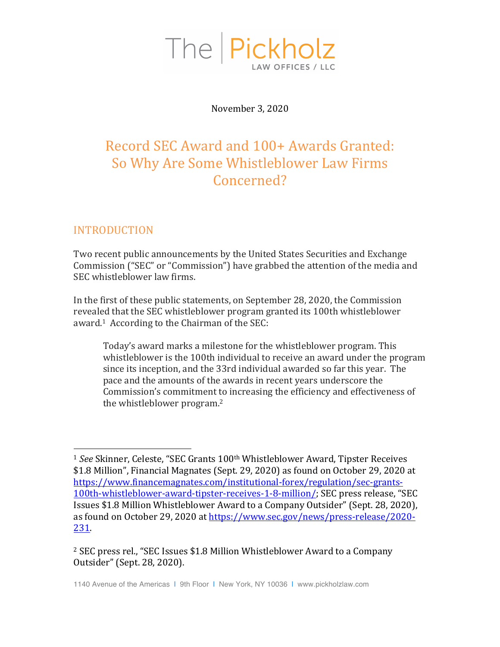

November 3, 2020

# Record SEC Award and 100+ Awards Granted: So Why Are Some Whistleblower Law Firms Concerned?

## INTRODUCTION

 

Two recent public announcements by the United States Securities and Exchange Commission ("SEC" or "Commission") have grabbed the attention of the media and SEC whistleblower law firms.

In the first of these public statements, on September 28, 2020, the Commission revealed that the SEC whistleblower program granted its 100th whistleblower award.<sup>1</sup> According to the Chairman of the SEC:

Today's award marks a milestone for the whistleblower program. This whistleblower is the 100th individual to receive an award under the program since its inception, and the 33rd individual awarded so far this year. The pace and the amounts of the awards in recent years underscore the Commission's commitment to increasing the efficiency and effectiveness of the whistleblower program.<sup>2</sup>

<sup>2</sup> SEC press rel., "SEC Issues \$1.8 Million Whistleblower Award to a Company Outsider" (Sept. 28, 2020).

<sup>&</sup>lt;sup>1</sup> See Skinner, Celeste, "SEC Grants 100<sup>th</sup> Whistleblower Award, Tipster Receives \$1.8 Million", Financial Magnates (Sept. 29, 2020) as found on October 29, 2020 at https://www.financemagnates.com/institutional-forex/regulation/sec-grants-100th-whistleblower-award-tipster-receives-1-8-million/; SEC press release, "SEC Issues \$1.8 Million Whistleblower Award to a Company Outsider" (Sept. 28, 2020), as found on October 29, 2020 at https://www.sec.gov/news/press-release/2020-231.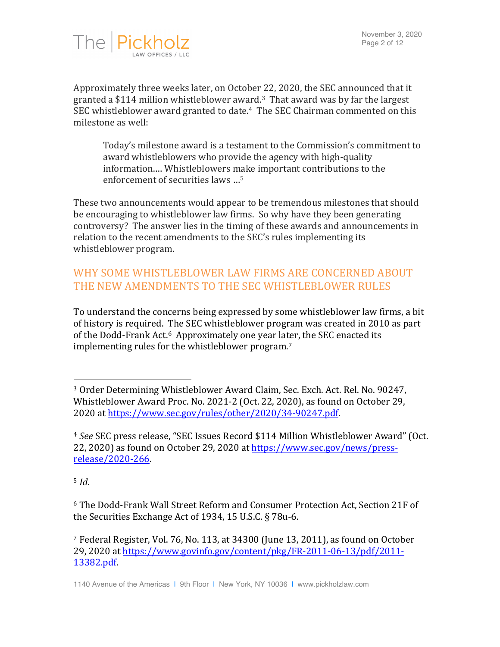

Approximately three weeks later, on October 22, 2020, the SEC announced that it granted a \$114 million whistleblower award.<sup>3</sup> That award was by far the largest SEC whistleblower award granted to date.<sup>4</sup> The SEC Chairman commented on this milestone as well:

Today's milestone award is a testament to the Commission's commitment to award whistleblowers who provide the agency with high-quality information.... Whistleblowers make important contributions to the enforcement of securities laws  $\ldots$ <sup>5</sup>

These two announcements would appear to be tremendous milestones that should be encouraging to whistleblower law firms. So why have they been generating controversy? The answer lies in the timing of these awards and announcements in relation to the recent amendments to the SEC's rules implementing its whistleblower program.

# WHY SOME WHISTLEBLOWER LAW FIRMS ARE CONCERNED ABOUT THE NEW AMENDMENTS TO THE SEC WHISTLEBLOWER RULES

To understand the concerns being expressed by some whistleblower law firms, a bit of history is required. The SEC whistleblower program was created in 2010 as part of the Dodd-Frank Act.<sup>6</sup> Approximately one year later, the SEC enacted its implementing rules for the whistleblower program.<sup>7</sup>

<sup>5</sup> *Id*.

<sup>6</sup> The Dodd-Frank Wall Street Reform and Consumer Protection Act, Section 21F of the Securities Exchange Act of 1934, 15 U.S.C.  $\S$  78u-6.

<sup>&</sup>lt;sup>3</sup> Order Determining Whistleblower Award Claim, Sec. Exch. Act. Rel. No. 90247, Whistleblower Award Proc. No. 2021-2 (Oct. 22, 2020), as found on October 29, 2020 at https://www.sec.gov/rules/other/2020/34-90247.pdf.

<sup>&</sup>lt;sup>4</sup> See SEC press release, "SEC Issues Record \$114 Million Whistleblower Award" (Oct. 22, 2020) as found on October 29, 2020 at https://www.sec.gov/news/pressrelease/2020-266.

<sup>&</sup>lt;sup>7</sup> Federal Register, Vol. 76, No. 113, at 34300 (June 13, 2011), as found on October 29, 2020 at https://www.govinfo.gov/content/pkg/FR-2011-06-13/pdf/2011-13382.pdf.

<sup>1140</sup> Avenue of the Americas | 9th Floor | New York, NY 10036 | www.pickholzlaw.com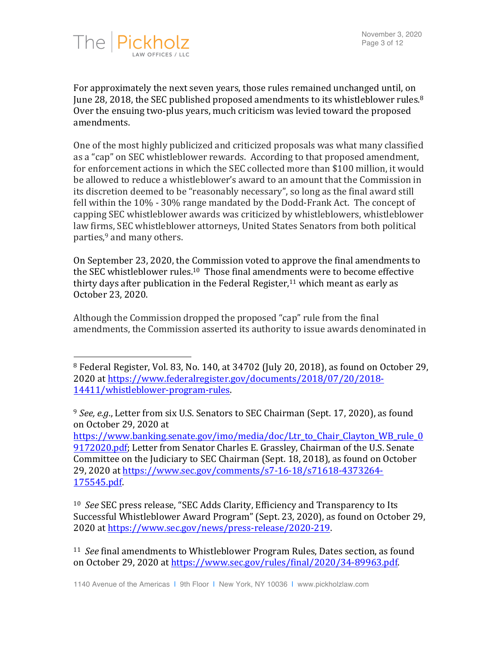

For approximately the next seven years, those rules remained unchanged until, on June 28, 2018, the SEC published proposed amendments to its whistleblower rules. $8$ Over the ensuing two-plus years, much criticism was levied toward the proposed amendments. 

One of the most highly publicized and criticized proposals was what many classified as a "cap" on SEC whistleblower rewards. According to that proposed amendment, for enforcement actions in which the SEC collected more than \$100 million, it would be allowed to reduce a whistleblower's award to an amount that the Commission in its discretion deemed to be "reasonably necessary", so long as the final award still fell within the  $10\%$  -  $30\%$  range mandated by the Dodd-Frank Act. The concept of capping SEC whistleblower awards was criticized by whistleblowers, whistleblower law firms, SEC whistleblower attorneys, United States Senators from both political parties,<sup>9</sup> and many others.

On September 23, 2020, the Commission voted to approve the final amendments to the SEC whistleblower rules.<sup>10</sup> Those final amendments were to become effective thirty days after publication in the Federal Register,<sup>11</sup> which meant as early as October 23, 2020.

Although the Commission dropped the proposed "cap" rule from the final amendments, the Commission asserted its authority to issue awards denominated in

https://www.banking.senate.gov/imo/media/doc/Ltr\_to\_Chair\_Clayton\_WB\_rule\_0\_ 9172020.pdf; Letter from Senator Charles E. Grassley, Chairman of the U.S. Senate Committee on the Judiciary to SEC Chairman (Sept. 18, 2018), as found on October 29, 2020 at https://www.sec.gov/comments/s7-16-18/s71618-4373264-175545.pdf.

<sup>10</sup> See SEC press release, "SEC Adds Clarity, Efficiency and Transparency to Its Successful Whistleblower Award Program" (Sept. 23, 2020), as found on October 29, 2020 at https://www.sec.gov/news/press-release/2020-219.

<sup>11</sup> See final amendments to Whistleblower Program Rules, Dates section, as found on October 29, 2020 at https://www.sec.gov/rules/final/2020/34-89963.pdf.

<sup>&</sup>lt;sup>8</sup> Federal Register, Vol. 83, No. 140, at 34702 (July 20, 2018), as found on October 29, 2020 at https://www.federalregister.gov/documents/2018/07/20/2018- 14411/whistleblower-program-rules.

<sup>&</sup>lt;sup>9</sup> *See, e.g.*, Letter from six U.S. Senators to SEC Chairman (Sept. 17, 2020), as found on October 29, 2020 at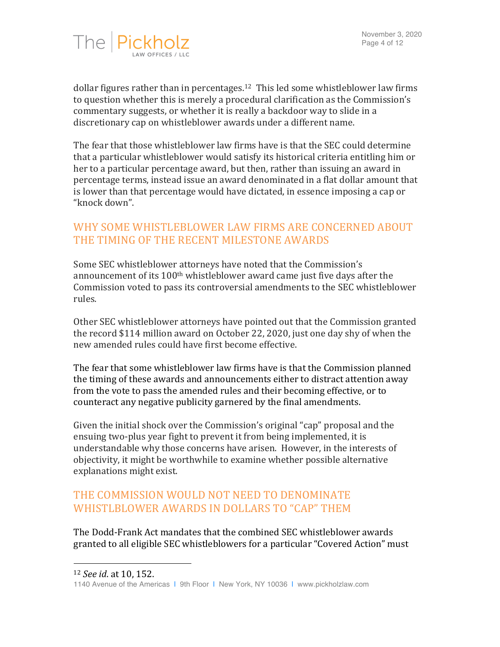

dollar figures rather than in percentages.<sup>12</sup> This led some whistleblower law firms to question whether this is merely a procedural clarification as the Commission's commentary suggests, or whether it is really a backdoor way to slide in a discretionary cap on whistleblower awards under a different name.

The fear that those whistleblower law firms have is that the SEC could determine that a particular whistleblower would satisfy its historical criteria entitling him or her to a particular percentage award, but then, rather than issuing an award in percentage terms, instead issue an award denominated in a flat dollar amount that is lower than that percentage would have dictated, in essence imposing a cap or "knock down".

### WHY SOME WHISTLEBLOWER LAW FIRMS ARE CONCERNED ABOUT THE TIMING OF THE RECENT MILESTONE AWARDS

Some SEC whistleblower attorneys have noted that the Commission's announcement of its  $100<sup>th</sup>$  whistleblower award came just five days after the Commission voted to pass its controversial amendments to the SEC whistleblower rules. 

Other SEC whistleblower attorneys have pointed out that the Commission granted the record  $$114$  million award on October 22, 2020, just one day shy of when the new amended rules could have first become effective.

The fear that some whistleblower law firms have is that the Commission planned the timing of these awards and announcements either to distract attention away from the vote to pass the amended rules and their becoming effective, or to counteract any negative publicity garnered by the final amendments.

Given the initial shock over the Commission's original "cap" proposal and the ensuing two-plus year fight to prevent it from being implemented, it is understandable why those concerns have arisen. However, in the interests of objectivity, it might be worthwhile to examine whether possible alternative explanations might exist.

## THE COMMISSION WOULD NOT NEED TO DENOMINATE WHISTLBLOWER AWARDS IN DOLLARS TO "CAP" THEM

The Dodd-Frank Act mandates that the combined SEC whistleblower awards granted to all eligible SEC whistleblowers for a particular "Covered Action" must

 

<sup>12</sup> *See id.* at 10, 152.

<sup>1140</sup> Avenue of the Americas | 9th Floor | New York, NY 10036 | www.pickholzlaw.com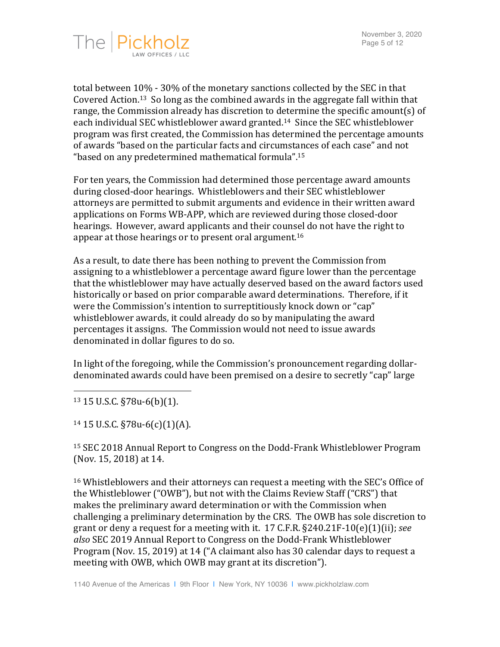

total between  $10\%$  -  $30\%$  of the monetary sanctions collected by the SEC in that Covered Action.<sup>13</sup> So long as the combined awards in the aggregate fall within that range, the Commission already has discretion to determine the specific amount(s) of each individual SEC whistleblower award granted.<sup>14</sup> Since the SEC whistleblower program was first created, the Commission has determined the percentage amounts of awards "based on the particular facts and circumstances of each case" and not "based on any predetermined mathematical formula".<sup>15</sup>

For ten years, the Commission had determined those percentage award amounts during closed-door hearings. Whistleblowers and their SEC whistleblower attorneys are permitted to submit arguments and evidence in their written award applications on Forms WB-APP, which are reviewed during those closed-door hearings. However, award applicants and their counsel do not have the right to appear at those hearings or to present oral argument.<sup>16</sup>

As a result, to date there has been nothing to prevent the Commission from assigning to a whistleblower a percentage award figure lower than the percentage that the whistleblower may have actually deserved based on the award factors used historically or based on prior comparable award determinations. Therefore, if it were the Commission's intention to surreptitiously knock down or "cap" whistleblower awards, it could already do so by manipulating the award percentages it assigns. The Commission would not need to issue awards denominated in dollar figures to do so.

In light of the foregoing, while the Commission's pronouncement regarding dollardenominated awards could have been premised on a desire to secretly "cap" large

 $13$  15 U.S.C. §78u-6(b)(1).

 $14$  15 U.S.C. §78u-6(c)(1)(A).

 

<sup>15</sup> SEC 2018 Annual Report to Congress on the Dodd-Frank Whistleblower Program (Nov. 15, 2018) at 14.

<sup>16</sup> Whistleblowers and their attorneys can request a meeting with the SEC's Office of the Whistleblower ("OWB"), but not with the Claims Review Staff ("CRS") that makes the preliminary award determination or with the Commission when challenging a preliminary determination by the CRS. The OWB has sole discretion to grant or deny a request for a meeting with it.  $17$  C.F.R.  $\S$ 240.21F-10(e)(1)(ii); *see* also SEC 2019 Annual Report to Congress on the Dodd-Frank Whistleblower Program (Nov. 15, 2019) at 14 ("A claimant also has 30 calendar days to request a meeting with OWB, which OWB may grant at its discretion").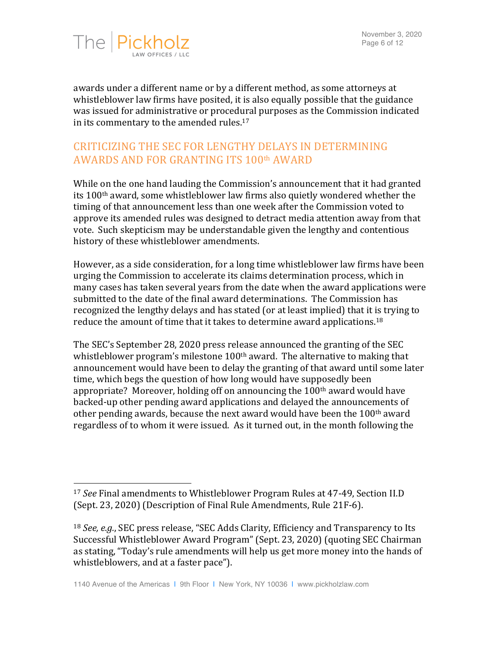

awards under a different name or by a different method, as some attorneys at whistleblower law firms have posited, it is also equally possible that the guidance was issued for administrative or procedural purposes as the Commission indicated in its commentary to the amended rules. $17$ 

## CRITICIZING THE SEC FOR LENGTHY DELAYS IN DETERMINING AWARDS AND FOR GRANTING ITS 100th AWARD

While on the one hand lauding the Commission's announcement that it had granted its  $100<sup>th</sup>$  award, some whistleblower law firms also quietly wondered whether the timing of that announcement less than one week after the Commission voted to approve its amended rules was designed to detract media attention away from that vote. Such skepticism may be understandable given the lengthy and contentious history of these whistleblower amendments.

However, as a side consideration, for a long time whistleblower law firms have been urging the Commission to accelerate its claims determination process, which in many cases has taken several years from the date when the award applications were submitted to the date of the final award determinations. The Commission has recognized the lengthy delays and has stated (or at least implied) that it is trying to reduce the amount of time that it takes to determine award applications.<sup>18</sup>

The SEC's September 28, 2020 press release announced the granting of the SEC whistleblower program's milestone  $100<sup>th</sup>$  award. The alternative to making that announcement would have been to delay the granting of that award until some later time, which begs the question of how long would have supposedly been appropriate? Moreover, holding off on announcing the  $100<sup>th</sup>$  award would have backed-up other pending award applications and delayed the announcements of other pending awards, because the next award would have been the  $100<sup>th</sup>$  award regardless of to whom it were issued. As it turned out, in the month following the

<sup>&</sup>lt;sup>17</sup> *See* Final amendments to Whistleblower Program Rules at 47-49, Section II.D (Sept. 23, 2020) (Description of Final Rule Amendments, Rule 21F-6).

<sup>&</sup>lt;sup>18</sup> *See, e.g.*, SEC press release, "SEC Adds Clarity, Efficiency and Transparency to Its Successful Whistleblower Award Program" (Sept. 23, 2020) (quoting SEC Chairman as stating, "Today's rule amendments will help us get more money into the hands of whistleblowers, and at a faster pace").

<sup>1140</sup> Avenue of the Americas | 9th Floor | New York, NY 10036 | www.pickholzlaw.com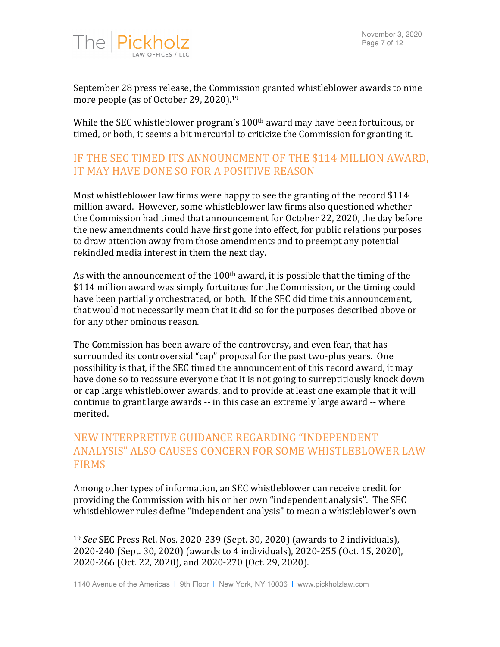

September 28 press release, the Commission granted whistleblower awards to nine more people (as of October 29, 2020).<sup>19</sup>

While the SEC whistleblower program's  $100<sup>th</sup>$  award may have been fortuitous, or timed, or both, it seems a bit mercurial to criticize the Commission for granting it.

# IF THE SEC TIMED ITS ANNOUNCMENT OF THE \$114 MILLION AWARD. IT MAY HAVE DONE SO FOR A POSITIVE REASON

Most whistleblower law firms were happy to see the granting of the record \$114 million award. However, some whistleblower law firms also questioned whether the Commission had timed that announcement for October 22, 2020, the day before the new amendments could have first gone into effect, for public relations purposes to draw attention away from those amendments and to preempt any potential rekindled media interest in them the next day.

As with the announcement of the  $100<sup>th</sup>$  award, it is possible that the timing of the \$114 million award was simply fortuitous for the Commission, or the timing could have been partially orchestrated, or both. If the SEC did time this announcement, that would not necessarily mean that it did so for the purposes described above or for any other ominous reason.

The Commission has been aware of the controversy, and even fear, that has surrounded its controversial "cap" proposal for the past two-plus years. One possibility is that, if the SEC timed the announcement of this record award, it may have done so to reassure everyone that it is not going to surreptitiously knock down or cap large whistleblower awards, and to provide at least one example that it will continue to grant large awards -- in this case an extremely large award -- where merited. 

# NEW INTERPRETIVE GUIDANCE REGARDING "INDEPENDENT ANALYSIS" ALSO CAUSES CONCERN FOR SOME WHISTLEBLOWER LAW FIRMS

Among other types of information, an SEC whistleblower can receive credit for providing the Commission with his or her own "independent analysis". The SEC whistleblower rules define "independent analysis" to mean a whistleblower's own

<sup>&</sup>lt;sup>19</sup> *See* SEC Press Rel. Nos. 2020-239 (Sept. 30, 2020) (awards to 2 individuals), 2020-240 (Sept. 30, 2020) (awards to 4 individuals), 2020-255 (Oct. 15, 2020), 2020-266 (Oct. 22, 2020), and 2020-270 (Oct. 29, 2020).

<sup>1140</sup> Avenue of the Americas | 9th Floor | New York, NY 10036 | www.pickholzlaw.com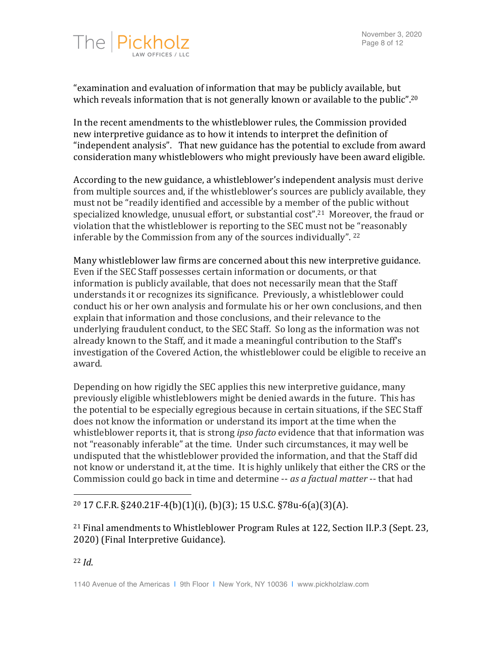

"examination and evaluation of information that may be publicly available, but which reveals information that is not generally known or available to the public".<sup>20</sup>

In the recent amendments to the whistleblower rules, the Commission provided new interpretive guidance as to how it intends to interpret the definition of "independent analysis". That new guidance has the potential to exclude from award consideration many whistleblowers who might previously have been award eligible.

According to the new guidance, a whistleblower's independent analysis must derive from multiple sources and, if the whistleblower's sources are publicly available, they must not be "readily identified and accessible by a member of the public without specialized knowledge, unusual effort, or substantial  $cost$ ".<sup>21</sup> Moreover, the fraud or violation that the whistleblower is reporting to the SEC must not be "reasonably inferable by the Commission from any of the sources individually".  $22$ 

Many whistleblower law firms are concerned about this new interpretive guidance. Even if the SEC Staff possesses certain information or documents, or that information is publicly available, that does not necessarily mean that the Staff understands it or recognizes its significance. Previously, a whistleblower could conduct his or her own analysis and formulate his or her own conclusions, and then explain that information and those conclusions, and their relevance to the underlying fraudulent conduct, to the SEC Staff. So long as the information was not already known to the Staff, and it made a meaningful contribution to the Staff's investigation of the Covered Action, the whistleblower could be eligible to receive an award. 

Depending on how rigidly the SEC applies this new interpretive guidance, many previously eligible whistleblowers might be denied awards in the future. This has the potential to be especially egregious because in certain situations, if the SEC Staff does not know the information or understand its import at the time when the whistleblower reports it, that is strong *ipso facto* evidence that that information was not "reasonably inferable" at the time. Under such circumstances, it may well be undisputed that the whistleblower provided the information, and that the Staff did not know or understand it, at the time. It is highly unlikely that either the CRS or the Commission could go back in time and determine -- *as a factual matter* -- that had

#### $^{20}$  17 C.F.R. §240.21F-4(b)(1)(i), (b)(3); 15 U.S.C. §78u-6(a)(3)(A).

<sup>21</sup> Final amendments to Whistleblower Program Rules at 122, Section II.P.3 (Sept. 23, 2020) (Final Interpretive Guidance).

<sup>22</sup> *Id*.

 

<sup>1140</sup> Avenue of the Americas | 9th Floor | New York, NY 10036 | www.pickholzlaw.com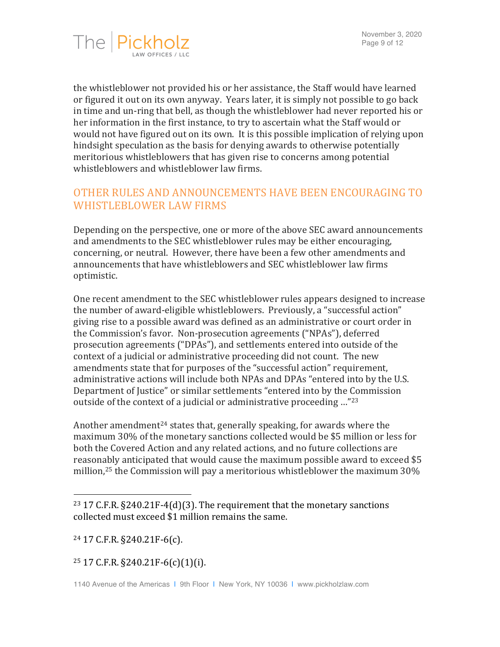

the whistleblower not provided his or her assistance, the Staff would have learned or figured it out on its own anyway. Years later, it is simply not possible to go back in time and un-ring that bell, as though the whistleblower had never reported his or her information in the first instance, to try to ascertain what the Staff would or would not have figured out on its own. It is this possible implication of relying upon hindsight speculation as the basis for denying awards to otherwise potentially meritorious whistleblowers that has given rise to concerns among potential whistleblowers and whistleblower law firms.

# OTHER RULES AND ANNOUNCEMENTS HAVE BEEN ENCOURAGING TO WHISTLEBLOWER LAW FIRMS

Depending on the perspective, one or more of the above SEC award announcements and amendments to the SEC whistleblower rules may be either encouraging, concerning, or neutral. However, there have been a few other amendments and announcements that have whistleblowers and SEC whistleblower law firms optimistic.

One recent amendment to the SEC whistleblower rules appears designed to increase the number of award-eligible whistleblowers. Previously, a "successful action" giving rise to a possible award was defined as an administrative or court order in the Commission's favor. Non-prosecution agreements ("NPAs"), deferred prosecution agreements ("DPAs"), and settlements entered into outside of the context of a judicial or administrative proceeding did not count. The new amendments state that for purposes of the "successful action" requirement, administrative actions will include both NPAs and DPAs "entered into by the U.S. Department of Justice" or similar settlements "entered into by the Commission outside of the context of a judicial or administrative proceeding  $\ldots$ "23

Another amendment<sup>24</sup> states that, generally speaking, for awards where the maximum 30% of the monetary sanctions collected would be \$5 million or less for both the Covered Action and any related actions, and no future collections are reasonably anticipated that would cause the maximum possible award to exceed \$5 million,<sup>25</sup> the Commission will pay a meritorious whistleblower the maximum  $30\%$ 

 

#### $25$  17 C.F.R.  $\S$ 240.21F-6(c)(1)(i).

<sup>&</sup>lt;sup>23</sup> 17 C.F.R.  $\S$ 240.21F-4(d)(3). The requirement that the monetary sanctions collected must exceed \$1 million remains the same.

 $24$  17 C.F.R. §240.21F-6(c).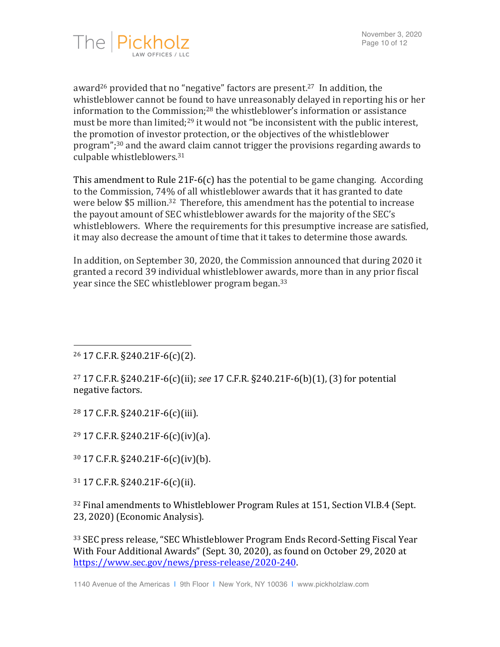

award<sup>26</sup> provided that no "negative" factors are present.<sup>27</sup> In addition, the whistleblower cannot be found to have unreasonably delayed in reporting his or her information to the Commission; $^{28}$  the whistleblower's information or assistance must be more than limited;<sup>29</sup> it would not "be inconsistent with the public interest, the promotion of investor protection, or the objectives of the whistleblower program";<sup>30</sup> and the award claim cannot trigger the provisions regarding awards to culpable whistleblowers.<sup>31</sup>

This amendment to Rule 21F-6(c) has the potential to be game changing. According to the Commission, 74% of all whistleblower awards that it has granted to date were below \$5 million.<sup>32</sup> Therefore, this amendment has the potential to increase the payout amount of SEC whistleblower awards for the majority of the SEC's whistleblowers. Where the requirements for this presumptive increase are satisfied, it may also decrease the amount of time that it takes to determine those awards.

In addition, on September 30, 2020, the Commission announced that during 2020 it granted a record 39 individual whistleblower awards, more than in any prior fiscal year since the SEC whistleblower program began.<sup>33</sup>

  $26$  17 C.F.R. §240.21F-6(c)(2).

<sup>27</sup> 17 C.F.R. §240.21F-6(c)(ii); *see* 17 C.F.R. §240.21F-6(b)(1), (3) for potential negative factors.

<sup>28</sup> 17 C.F.R. §240.21F-6(c)(iii).

 $29$  17 C.F.R. §240.21F-6(c)(iv)(a).

 $30\,$  17 C.F.R.  $\S$ 240.21F-6(c)(iv)(b).

 $31$  17 C.F.R.  $\S$ 240.21F-6(c)(ii).

 $32$  Final amendments to Whistleblower Program Rules at 151, Section VI.B.4 (Sept.) 23, 2020) (Economic Analysis).

<sup>33</sup> SEC press release, "SEC Whistleblower Program Ends Record-Setting Fiscal Year With Four Additional Awards" (Sept. 30, 2020), as found on October 29, 2020 at https://www.sec.gov/news/press-release/2020-240.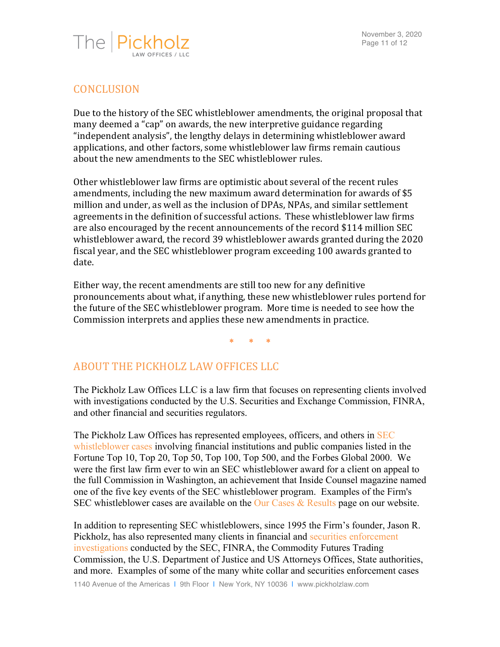November 3, 2020 Page 11 of 12



### **CONCLUSION**

Due to the history of the SEC whistleblower amendments, the original proposal that many deemed a "cap" on awards, the new interpretive guidance regarding "independent analysis", the lengthy delays in determining whistleblower award applications, and other factors, some whistleblower law firms remain cautious about the new amendments to the SEC whistleblower rules.

Other whistleblower law firms are optimistic about several of the recent rules amendments, including the new maximum award determination for awards of \$5 million and under, as well as the inclusion of DPAs, NPAs, and similar settlement agreements in the definition of successful actions. These whistleblower law firms are also encouraged by the recent announcements of the record \$114 million SEC whistleblower award, the record 39 whistleblower awards granted during the 2020 fiscal year, and the SEC whistleblower program exceeding 100 awards granted to date.

Either way, the recent amendments are still too new for any definitive pronouncements about what, if anything, these new whistleblower rules portend for the future of the SEC whistleblower program. More time is needed to see how the Commission interprets and applies these new amendments in practice.

\* \* \*

### ABOUT THE PICKHOLZ LAW OFFICES LLC

The Pickholz Law Offices LLC is a law firm that focuses on representing clients involved with investigations conducted by the U.S. Securities and Exchange Commission, FINRA, and other financial and securities regulators.

The Pickholz Law Offices has represented employees, officers, and others in SEC whistleblower cases involving financial institutions and public companies listed in the Fortune Top 10, Top 20, Top 50, Top 100, Top 500, and the Forbes Global 2000. We were the first law firm ever to win an SEC whistleblower award for a client on appeal to the full Commission in Washington, an achievement that Inside Counsel magazine named one of the five key events of the SEC whistleblower program. Examples of the Firm's SEC whistleblower cases are available on the Our Cases  $&$  Results page on our website.

In addition to representing SEC whistleblowers, since 1995 the Firm's founder, Jason R. Pickholz, has also represented many clients in financial and securities enforcement investigations conducted by the SEC, FINRA, the Commodity Futures Trading Commission, the U.S. Department of Justice and US Attorneys Offices, State authorities, and more. Examples of some of the many white collar and securities enforcement cases